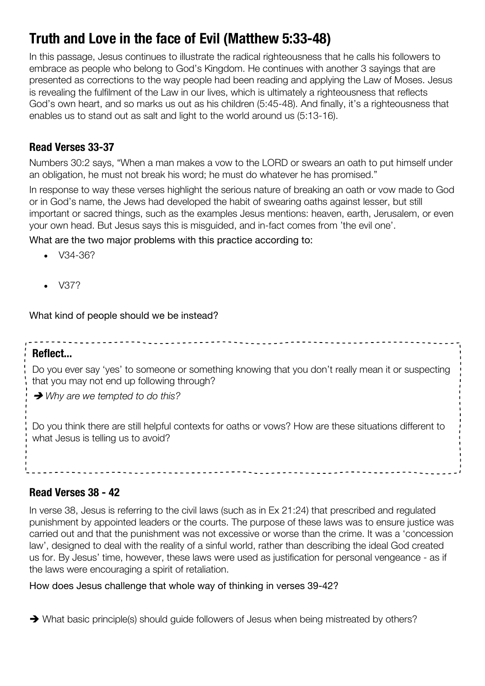# **Truth and Love in the face of Evil (Matthew 5:33-48)**

In this passage, Jesus continues to illustrate the radical righteousness that he calls his followers to embrace as people who belong to God's Kingdom. He continues with another 3 sayings that are presented as corrections to the way people had been reading and applying the Law of Moses. Jesus is revealing the fulfilment of the Law in our lives, which is ultimately a righteousness that reflects God's own heart, and so marks us out as his children (5:45-48). And finally, it's a righteousness that enables us to stand out as salt and light to the world around us (5:13-16).

# **Read Verses 33-37**

Numbers 30:2 says, "When a man makes a vow to the LORD or swears an oath to put himself under an obligation, he must not break his word; he must do whatever he has promised."

In response to way these verses highlight the serious nature of breaking an oath or vow made to God or in God's name, the Jews had developed the habit of swearing oaths against lesser, but still important or sacred things, such as the examples Jesus mentions: heaven, earth, Jerusalem, or even your own head. But Jesus says this is misguided, and in-fact comes from 'the evil one'.

What are the two major problems with this practice according to:

- V34-36?
- V37?

What kind of people should we be instead?

#### **Reflect...**

Do you ever say 'yes' to someone or something knowing that you don't really mean it or suspecting that you may not end up following through?

è *Why are we tempted to do this?*

Do you think there are still helpful contexts for oaths or vows? How are these situations different to what Jesus is telling us to avoid?

## **Read Verses 38 - 42**

In verse 38, Jesus is referring to the civil laws (such as in Ex 21:24) that prescribed and regulated punishment by appointed leaders or the courts. The purpose of these laws was to ensure justice was carried out and that the punishment was not excessive or worse than the crime. It was a 'concession law', designed to deal with the reality of a sinful world, rather than describing the ideal God created us for. By Jesus' time, however, these laws were used as justification for personal vengeance - as if the laws were encouraging a spirit of retaliation.

#### How does Jesus challenge that whole way of thinking in verses 39-42?

• What basic principle(s) should guide followers of Jesus when being mistreated by others?